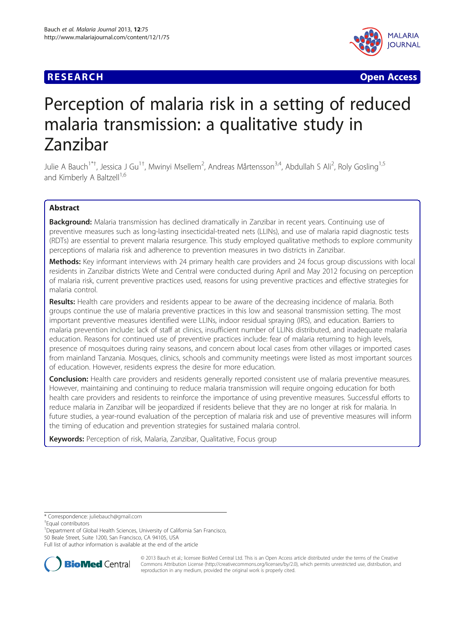## **RESEARCH CHEAR CHEAR CHEAR CHEAR CHEAR CHEAR CHEAR CHEAR CHEAR CHEAR CHEAR CHEAR CHEAR CHEAR CHEAR CHEAR CHEAR**



# Perception of malaria risk in a setting of reduced malaria transmission: a qualitative study in Zanzibar

Julie A Bauch<sup>1\*†</sup>, Jessica J Gu<sup>1†</sup>, Mwinyi Msellem<sup>2</sup>, Andreas Mårtensson<sup>3,4</sup>, Abdullah S Ali<sup>2</sup>, Roly Gosling<sup>1,5</sup> and Kimberly A Baltzell<sup>1,6</sup>

## Abstract

Background: Malaria transmission has declined dramatically in Zanzibar in recent years. Continuing use of preventive measures such as long-lasting insecticidal-treated nets (LLINs), and use of malaria rapid diagnostic tests (RDTs) are essential to prevent malaria resurgence. This study employed qualitative methods to explore community perceptions of malaria risk and adherence to prevention measures in two districts in Zanzibar.

Methods: Key informant interviews with 24 primary health care providers and 24 focus group discussions with local residents in Zanzibar districts Wete and Central were conducted during April and May 2012 focusing on perception of malaria risk, current preventive practices used, reasons for using preventive practices and effective strategies for malaria control.

Results: Health care providers and residents appear to be aware of the decreasing incidence of malaria. Both groups continue the use of malaria preventive practices in this low and seasonal transmission setting. The most important preventive measures identified were LLINs, indoor residual spraying (IRS), and education. Barriers to malaria prevention include: lack of staff at clinics, insufficient number of LLINs distributed, and inadequate malaria education. Reasons for continued use of preventive practices include: fear of malaria returning to high levels, presence of mosquitoes during rainy seasons, and concern about local cases from other villages or imported cases from mainland Tanzania. Mosques, clinics, schools and community meetings were listed as most important sources of education. However, residents express the desire for more education.

Conclusion: Health care providers and residents generally reported consistent use of malaria preventive measures. However, maintaining and continuing to reduce malaria transmission will require ongoing education for both health care providers and residents to reinforce the importance of using preventive measures. Successful efforts to reduce malaria in Zanzibar will be jeopardized if residents believe that they are no longer at risk for malaria. In future studies, a year-round evaluation of the perception of malaria risk and use of preventive measures will inform the timing of education and prevention strategies for sustained malaria control.

Keywords: Perception of risk, Malaria, Zanzibar, Qualitative, Focus group

\* Correspondence: [juliebauch@gmail.com](mailto:juliebauch@gmail.com) †

Equal contributors

<sup>1</sup>Department of Global Health Sciences, University of California San Francisco,

50 Beale Street, Suite 1200, San Francisco, CA 94105, USA

Full list of author information is available at the end of the article



© 2013 Bauch et al.; licensee BioMed Central Ltd. This is an Open Access article distributed under the terms of the Creative Commons Attribution License [\(http://creativecommons.org/licenses/by/2.0\)](http://creativecommons.org/licenses/by/2.0), which permits unrestricted use, distribution, and reproduction in any medium, provided the original work is properly cited.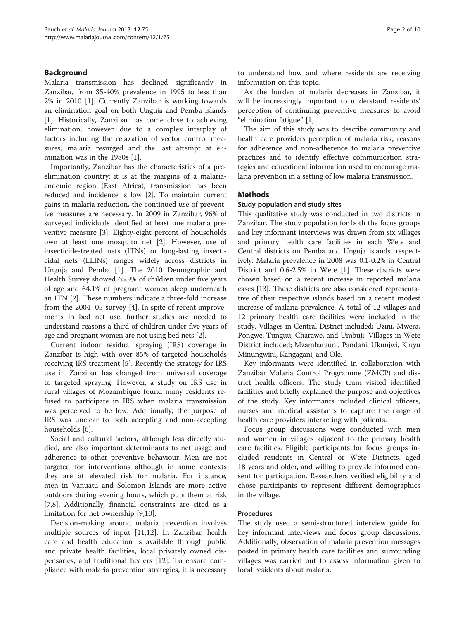## Background

Malaria transmission has declined significantly in Zanzibar, from 35-40% prevalence in 1995 to less than 2% in 2010 [[1\]](#page-8-0). Currently Zanzibar is working towards an elimination goal on both Unguja and Pemba islands [[1\]](#page-8-0). Historically, Zanzibar has come close to achieving elimination, however, due to a complex interplay of factors including the relaxation of vector control measures, malaria resurged and the last attempt at elimination was in the 1980s [[1\]](#page-8-0).

Importantly, Zanzibar has the characteristics of a preelimination country: it is at the margins of a malariaendemic region (East Africa), transmission has been reduced and incidence is low [\[2](#page-8-0)]. To maintain current gains in malaria reduction, the continued use of preventive measures are necessary. In 2009 in Zanzibar, 96% of surveyed individuals identified at least one malaria preventive measure [[3\]](#page-8-0). Eighty-eight percent of households own at least one mosquito net [[2\]](#page-8-0). However, use of insecticide-treated nets (ITNs) or long-lasting insecticidal nets (LLINs) ranges widely across districts in Unguja and Pemba [\[1](#page-8-0)]. The 2010 Demographic and Health Survey showed 65.9% of children under five years of age and 64.1% of pregnant women sleep underneath an ITN [[2\]](#page-8-0). These numbers indicate a three-fold increase from the 2004–05 survey [\[4](#page-9-0)]. In spite of recent improvements in bed net use, further studies are needed to understand reasons a third of children under five years of age and pregnant women are not using bed nets [\[2](#page-8-0)].

Current indoor residual spraying (IRS) coverage in Zanzibar is high with over 85% of targeted households receiving IRS treatment [[5\]](#page-9-0). Recently the strategy for IRS use in Zanzibar has changed from universal coverage to targeted spraying. However, a study on IRS use in rural villages of Mozambique found many residents refused to participate in IRS when malaria transmission was perceived to be low. Additionally, the purpose of IRS was unclear to both accepting and non-accepting households [[6\]](#page-9-0).

Social and cultural factors, although less directly studied, are also important determinants to net usage and adherence to other preventive behaviour. Men are not targeted for interventions although in some contexts they are at elevated risk for malaria. For instance, men in Vanuatu and Solomon Islands are more active outdoors during evening hours, which puts them at risk [[7,8\]](#page-9-0). Additionally, financial constraints are cited as a limitation for net ownership [\[9,10](#page-9-0)].

Decision-making around malaria prevention involves multiple sources of input [[11](#page-9-0),[12](#page-9-0)]. In Zanzibar, health care and health education is available through public and private health facilities, local privately owned dispensaries, and traditional healers [[12](#page-9-0)]. To ensure compliance with malaria prevention strategies, it is necessary

to understand how and where residents are receiving information on this topic.

As the burden of malaria decreases in Zanzibar, it will be increasingly important to understand residents' perception of continuing preventive measures to avoid "elimination fatigue" [[1\]](#page-8-0).

The aim of this study was to describe community and health care providers perception of malaria risk, reasons for adherence and non-adherence to malaria preventive practices and to identify effective communication strategies and educational information used to encourage malaria prevention in a setting of low malaria transmission.

## **Methods**

#### Study population and study sites

This qualitative study was conducted in two districts in Zanzibar. The study population for both the focus groups and key informant interviews was drawn from six villages and primary health care facilities in each Wete and Central districts on Pemba and Unguja islands, respectively. Malaria prevalence in 2008 was 0.1-0.2% in Central District and 0.6-2.5% in Wete [[1](#page-8-0)]. These districts were chosen based on a recent increase in reported malaria cases [[13](#page-9-0)]. These districts are also considered representative of their respective islands based on a recent modest increase of malaria prevalence. A total of 12 villages and 12 primary health care facilities were included in the study. Villages in Central District included; Uzini, Mwera, Pongwe, Tunguu, Charawe, and Umbuji. Villages in Wete District included; Mzambarauni, Pandani, Ukunjwi, Kiuyu Minungwini, Kangagani, and Ole.

Key informants were identified in collaboration with Zanzibar Malaria Control Programme (ZMCP) and district health officers. The study team visited identified facilities and briefly explained the purpose and objectives of the study. Key informants included clinical officers, nurses and medical assistants to capture the range of health care providers interacting with patients.

Focus group discussions were conducted with men and women in villages adjacent to the primary health care facilities. Eligible participants for focus groups included residents in Central or Wete Districts, aged 18 years and older, and willing to provide informed consent for participation. Researchers verified eligibility and chose participants to represent different demographics in the village.

## Procedures

The study used a semi-structured interview guide for key informant interviews and focus group discussions. Additionally, observation of malaria prevention messages posted in primary health care facilities and surrounding villages was carried out to assess information given to local residents about malaria.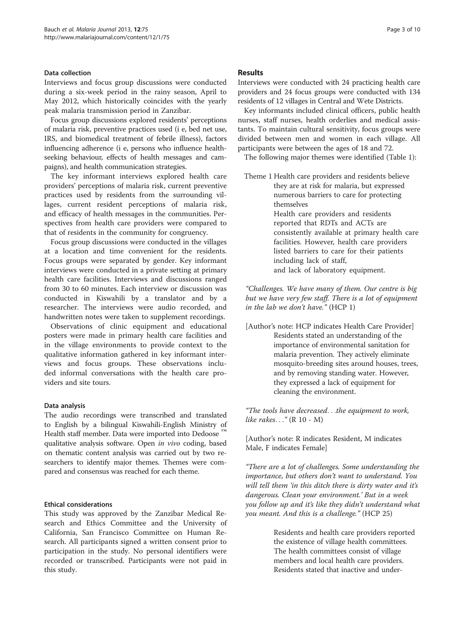## Data collection

Interviews and focus group discussions were conducted during a six-week period in the rainy season, April to May 2012, which historically coincides with the yearly peak malaria transmission period in Zanzibar.

Focus group discussions explored residents' perceptions of malaria risk, preventive practices used (i e, bed net use, IRS, and biomedical treatment of febrile illness), factors influencing adherence (i e, persons who influence healthseeking behaviour, effects of health messages and campaigns), and health communication strategies.

The key informant interviews explored health care providers' perceptions of malaria risk, current preventive practices used by residents from the surrounding villages, current resident perceptions of malaria risk, and efficacy of health messages in the communities. Perspectives from health care providers were compared to that of residents in the community for congruency.

Focus group discussions were conducted in the villages at a location and time convenient for the residents. Focus groups were separated by gender. Key informant interviews were conducted in a private setting at primary health care facilities. Interviews and discussions ranged from 30 to 60 minutes. Each interview or discussion was conducted in Kiswahili by a translator and by a researcher. The interviews were audio recorded, and handwritten notes were taken to supplement recordings.

Observations of clinic equipment and educational posters were made in primary health care facilities and in the village environments to provide context to the qualitative information gathered in key informant interviews and focus groups. These observations included informal conversations with the health care providers and site tours.

#### Data analysis

The audio recordings were transcribed and translated to English by a bilingual Kiswahili-English Ministry of Health staff member. Data were imported into Dedoose ™ qualitative analysis software. Open in vivo coding, based on thematic content analysis was carried out by two researchers to identify major themes. Themes were compared and consensus was reached for each theme.

#### Ethical considerations

This study was approved by the Zanzibar Medical Research and Ethics Committee and the University of California, San Francisco Committee on Human Research. All participants signed a written consent prior to participation in the study. No personal identifiers were recorded or transcribed. Participants were not paid in this study.

## Results

Interviews were conducted with 24 practicing health care providers and 24 focus groups were conducted with 134 residents of 12 villages in Central and Wete Districts.

Key informants included clinical officers, public health nurses, staff nurses, health orderlies and medical assistants. To maintain cultural sensitivity, focus groups were divided between men and women in each village. All participants were between the ages of 18 and 72.

The following major themes were identified (Table [1](#page-3-0)):

Theme 1 Health care providers and residents believe they are at risk for malaria, but expressed numerous barriers to care for protecting themselves Health care providers and residents reported that RDTs and ACTs are consistently available at primary health care facilities. However, health care providers listed barriers to care for their patients including lack of staff, and lack of laboratory equipment.

"Challenges. We have many of them. Our centre is big but we have very few staff. There is a lot of equipment in the lab we don't have." (HCP 1)

[Author's note: HCP indicates Health Care Provider] Residents stated an understanding of the importance of environmental sanitation for malaria prevention. They actively eliminate mosquito-breeding sites around houses, trees, and by removing standing water. However, they expressed a lack of equipment for cleaning the environment.

"The tools have decreased...the equipment to work, like rakes..." (R 10 - M)

[Author's note: R indicates Resident, M indicates Male, F indicates Female]

"There are a lot of challenges. Some understanding the importance, but others don't want to understand. You will tell them 'in this ditch there is dirty water and it's dangerous. Clean your environment.' But in a week you follow up and it's like they didn't understand what you meant. And this is a challenge." (HCP 25)

> Residents and health care providers reported the existence of village health committees. The health committees consist of village members and local health care providers. Residents stated that inactive and under-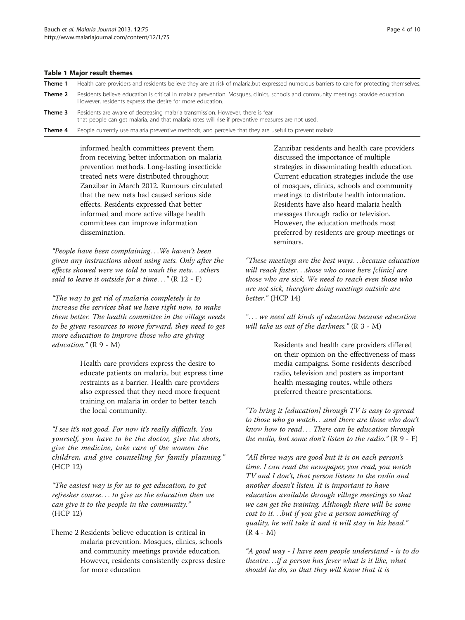#### <span id="page-3-0"></span>Table 1 Major result themes

- that people can get malaria, and that malaria rates will rise if preventive measures are not used.
- **Theme 4** People currently use malaria preventive methods, and perceive that they are useful to prevent malaria.

informed health committees prevent them from receiving better information on malaria prevention methods. Long-lasting insecticide treated nets were distributed throughout Zanzibar in March 2012. Rumours circulated that the new nets had caused serious side effects. Residents expressed that better informed and more active village health committees can improve information dissemination.

"People have been complaining...We haven't been given any instructions about using nets. Only after the effects showed were we told to wash the nets...others said to leave it outside for a time..."  $(R 12 - F)$ 

"The way to get rid of malaria completely is to increase the services that we have right now, to make them better. The health committee in the village needs to be given resources to move forward, they need to get more education to improve those who are giving education."  $(R 9 - M)$ 

> Health care providers express the desire to educate patients on malaria, but express time restraints as a barrier. Health care providers also expressed that they need more frequent training on malaria in order to better teach the local community.

"I see it's not good. For now it's really difficult. You yourself, you have to be the doctor, give the shots, give the medicine, take care of the women the children, and give counselling for family planning." (HCP 12)

"The easiest way is for us to get education, to get refresher course... to give us the education then we can give it to the people in the community." (HCP 12)

Theme 2 Residents believe education is critical in malaria prevention. Mosques, clinics, schools and community meetings provide education. However, residents consistently express desire for more education

Zanzibar residents and health care providers discussed the importance of multiple strategies in disseminating health education. Current education strategies include the use of mosques, clinics, schools and community meetings to distribute health information. Residents have also heard malaria health messages through radio or television. However, the education methods most preferred by residents are group meetings or seminars.

"These meetings are the best ways...because education will reach faster...those who come here [clinic] are those who are sick. We need to reach even those who are not sick, therefore doing meetings outside are better." (HCP 14)

"... we need all kinds of education because education will take us out of the darkness." (R 3 - M)

> Residents and health care providers differed on their opinion on the effectiveness of mass media campaigns. Some residents described radio, television and posters as important health messaging routes, while others preferred theatre presentations.

"To bring it [education] through TV is easy to spread to those who go watch...and there are those who don't know how to read... There can be education through the radio, but some don't listen to the radio."  $(R 9 - F)$ 

"All three ways are good but it is on each person's time. I can read the newspaper, you read, you watch TV and I don't, that person listens to the radio and another doesn't listen. It is important to have education available through village meetings so that we can get the training. Although there will be some cost to it...but if you give a person something of quality, he will take it and it will stay in his head."  $(R 4 - M)$ 

"A good way - I have seen people understand - is to do theatre...if a person has fever what is it like, what should he do, so that they will know that it is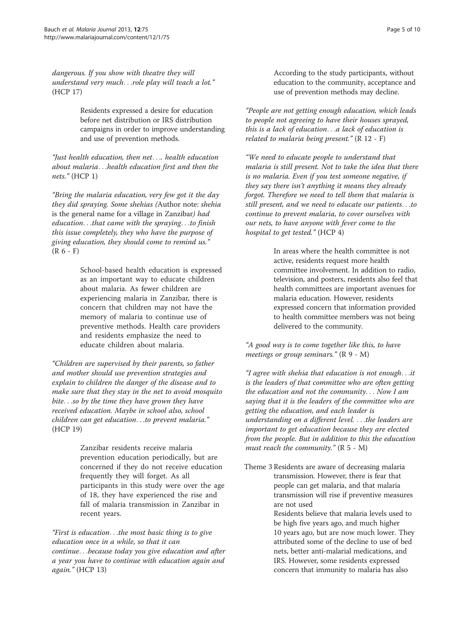dangerous. If you show with theatre they will understand very much...role play will teach a lot." (HCP 17)

> Residents expressed a desire for education before net distribution or IRS distribution campaigns in order to improve understanding and use of prevention methods.

"Just health education, then net.... health education about malaria...health education first and then the nets." (HCP 1)

"Bring the malaria education, very few got it the day they did spraying. Some shehias (Author note: shehia is the general name for a village in Zanzibar) had education...that came with the spraying...to finish this issue completely, they who have the purpose of giving education, they should come to remind us."  $(R 6 - F)$ 

> School-based health education is expressed as an important way to educate children about malaria. As fewer children are experiencing malaria in Zanzibar, there is concern that children may not have the memory of malaria to continue use of preventive methods. Health care providers and residents emphasize the need to educate children about malaria.

"Children are supervised by their parents, so father and mother should use prevention strategies and explain to children the danger of the disease and to make sure that they stay in the net to avoid mosquito bite...so by the time they have grown they have received education. Maybe in school also, school children can get education...to prevent malaria." (HCP 19)

> Zanzibar residents receive malaria prevention education periodically, but are concerned if they do not receive education frequently they will forget. As all participants in this study were over the age of 18, they have experienced the rise and fall of malaria transmission in Zanzibar in recent years.

"First is education...the most basic thing is to give education once in a while, so that it can continue...because today you give education and after a year you have to continue with education again and again." (HCP 13)

According to the study participants, without education to the community, acceptance and use of prevention methods may decline.

"People are not getting enough education, which leads to people not agreeing to have their houses sprayed, this is a lack of education...a lack of education is related to malaria being present." (R 12 - F)

"We need to educate people to understand that malaria is still present. Not to take the idea that there is no malaria. Even if you test someone negative, if they say there isn't anything it means they already forgot. Therefore we need to tell them that malaria is still present, and we need to educate our patients...to continue to prevent malaria, to cover ourselves with our nets, to have anyone with fever come to the hospital to get tested." (HCP 4)

> In areas where the health committee is not active, residents request more health committee involvement. In addition to radio, television, and posters, residents also feel that health committees are important avenues for malaria education. However, residents expressed concern that information provided to health committee members was not being delivered to the community.

"A good way is to come together like this, to have meetings or group seminars." (R 9 - M)

"I agree with shehia that education is not enough...it is the leaders of that committee who are often getting the education and not the community... Now I am saying that it is the leaders of the committee who are getting the education, and each leader is understanding on a different level. ...the leaders are important to get education because they are elected from the people. But in addition to this the education must reach the community."  $(R 5 - M)$ 

Theme 3 Residents are aware of decreasing malaria transmission. However, there is fear that people can get malaria, and that malaria transmission will rise if preventive measures are not used Residents believe that malaria levels used to be high five years ago, and much higher 10 years ago, but are now much lower. They attributed some of the decline to use of bed nets, better anti-malarial medications, and IRS. However, some residents expressed concern that immunity to malaria has also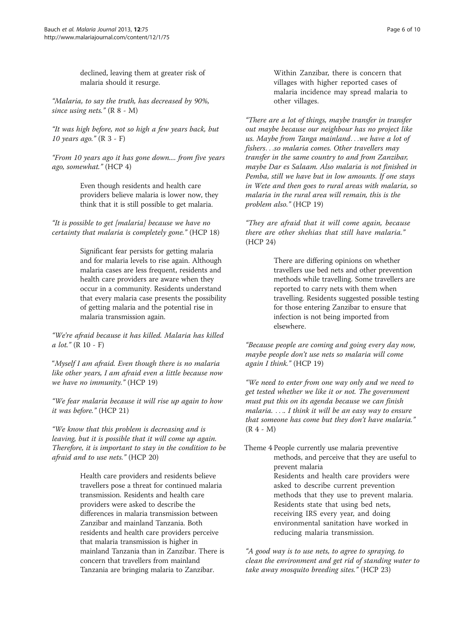declined, leaving them at greater risk of malaria should it resurge.

"Malaria, to say the truth, has decreased by 90%, since using nets." (R 8 - M)

"It was high before, not so high a few years back, but 10 years ago."  $(R \ 3 - F)$ 

"From 10 years ago it has gone down.... from five years ago, somewhat." (HCP 4)

> Even though residents and health care providers believe malaria is lower now, they think that it is still possible to get malaria.

"It is possible to get [malaria] because we have no certainty that malaria is completely gone." (HCP 18)

> Significant fear persists for getting malaria and for malaria levels to rise again. Although malaria cases are less frequent, residents and health care providers are aware when they occur in a community. Residents understand that every malaria case presents the possibility of getting malaria and the potential rise in malaria transmission again.

"We're afraid because it has killed. Malaria has killed  $a$  lot." (R 10 - F)

"Myself I am afraid. Even though there is no malaria like other years, I am afraid even a little because now we have no immunity." (HCP 19)

"We fear malaria because it will rise up again to how it was before." (HCP 21)

"We know that this problem is decreasing and is leaving, but it is possible that it will come up again. Therefore, it is important to stay in the condition to be afraid and to use nets." (HCP 20)

> Health care providers and residents believe travellers pose a threat for continued malaria transmission. Residents and health care providers were asked to describe the differences in malaria transmission between Zanzibar and mainland Tanzania. Both residents and health care providers perceive that malaria transmission is higher in mainland Tanzania than in Zanzibar. There is concern that travellers from mainland Tanzania are bringing malaria to Zanzibar.

Within Zanzibar, there is concern that villages with higher reported cases of malaria incidence may spread malaria to other villages.

"There are a lot of things, maybe transfer in transfer out maybe because our neighbour has no project like us. Maybe from Tanga mainland...we have a lot of fishers...so malaria comes. Other travellers may transfer in the same country to and from Zanzibar, maybe Dar es Salaam. Also malaria is not finished in Pemba, still we have but in low amounts. If one stays in Wete and then goes to rural areas with malaria, so malaria in the rural area will remain, this is the problem also." (HCP 19)

"They are afraid that it will come again, because there are other shehias that still have malaria." (HCP 24)

> There are differing opinions on whether travellers use bed nets and other prevention methods while travelling. Some travellers are reported to carry nets with them when travelling. Residents suggested possible testing for those entering Zanzibar to ensure that infection is not being imported from elsewhere.

"Because people are coming and going every day now, maybe people don't use nets so malaria will come again I think." (HCP 19)

"We need to enter from one way only and we need to get tested whether we like it or not. The government must put this on its agenda because we can finish malaria. .... I think it will be an easy way to ensure that someone has come but they don't have malaria."  $(R 4 - M)$ 

Theme 4 People currently use malaria preventive methods, and perceive that they are useful to prevent malaria Residents and health care providers were asked to describe current prevention methods that they use to prevent malaria. Residents state that using bed nets, receiving IRS every year, and doing environmental sanitation have worked in reducing malaria transmission.

"A good way is to use nets, to agree to spraying, to clean the environment and get rid of standing water to take away mosquito breeding sites." (HCP 23)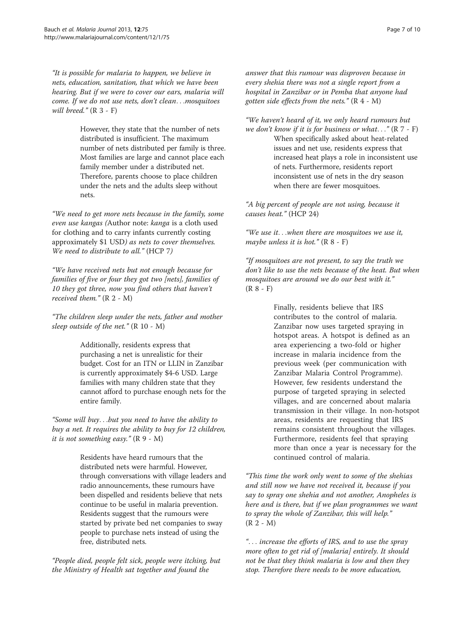"It is possible for malaria to happen, we believe in nets, education, sanitation, that which we have been hearing. But if we were to cover our ears, malaria will come. If we do not use nets, don't clean...mosquitoes will breed." (R 3 - F)

> However, they state that the number of nets distributed is insufficient. The maximum number of nets distributed per family is three. Most families are large and cannot place each family member under a distributed net. Therefore, parents choose to place children under the nets and the adults sleep without nets.

"We need to get more nets because in the family, some even use kangas (Author note: kanga is a cloth used for clothing and to carry infants currently costing approximately \$1 USD) as nets to cover themselves. We need to distribute to all." (HCP 7)

"We have received nets but not enough because for families of five or four they got two [nets], families of 10 they got three, now you find others that haven't received them." (R 2 - M)

"The children sleep under the nets, father and mother sleep outside of the net." (R 10 - M)

> Additionally, residents express that purchasing a net is unrealistic for their budget. Cost for an ITN or LLIN in Zanzibar is currently approximately \$4-6 USD. Large families with many children state that they cannot afford to purchase enough nets for the entire family.

"Some will buy...but you need to have the ability to buy a net. It requires the ability to buy for 12 children, it is not something easy." (R 9 - M)

> Residents have heard rumours that the distributed nets were harmful. However, through conversations with village leaders and radio announcements, these rumours have been dispelled and residents believe that nets continue to be useful in malaria prevention. Residents suggest that the rumours were started by private bed net companies to sway people to purchase nets instead of using the free, distributed nets.

"People died, people felt sick, people were itching, but the Ministry of Health sat together and found the

answer that this rumour was disproven because in every shehia there was not a single report from a hospital in Zanzibar or in Pemba that anyone had gotten side effects from the nets." (R 4 - M)

"We haven't heard of it, we only heard rumours but we don't know if it is for business or what..."  $(R 7 - F)$ 

When specifically asked about heat-related issues and net use, residents express that increased heat plays a role in inconsistent use of nets. Furthermore, residents report inconsistent use of nets in the dry season when there are fewer mosquitoes.

"A big percent of people are not using, because it causes heat." (HCP 24)

"We use it...when there are mosquitoes we use it, maybe unless it is hot."  $(R 8 - F)$ 

"If mosquitoes are not present, to say the truth we don't like to use the nets because of the heat. But when mosquitoes are around we do our best with it."  $(R 8 - F)$ 

> Finally, residents believe that IRS contributes to the control of malaria. Zanzibar now uses targeted spraying in hotspot areas. A hotspot is defined as an area experiencing a two-fold or higher increase in malaria incidence from the previous week (per communication with Zanzibar Malaria Control Programme). However, few residents understand the purpose of targeted spraying in selected villages, and are concerned about malaria transmission in their village. In non-hotspot areas, residents are requesting that IRS remains consistent throughout the villages. Furthermore, residents feel that spraying more than once a year is necessary for the continued control of malaria.

"This time the work only went to some of the shehias and still now we have not received it, because if you say to spray one shehia and not another, Anopheles is here and is there, but if we plan programmes we want to spray the whole of Zanzibar, this will help."  $(R 2 - M)$ 

"... increase the efforts of IRS, and to use the spray more often to get rid of [malaria] entirely. It should not be that they think malaria is low and then they stop. Therefore there needs to be more education,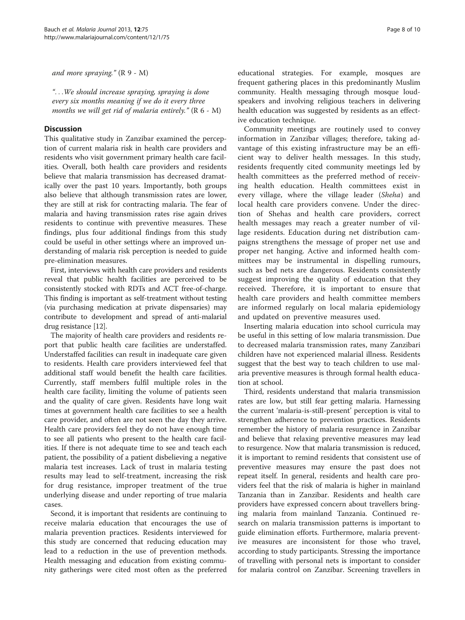and more spraying."  $(R 9 - M)$ 

"...We should increase spraying, spraying is done every six months meaning if we do it every three months we will get rid of malaria entirely." (R 6 - M)

## **Discussion**

This qualitative study in Zanzibar examined the perception of current malaria risk in health care providers and residents who visit government primary health care facilities. Overall, both health care providers and residents believe that malaria transmission has decreased dramatically over the past 10 years. Importantly, both groups also believe that although transmission rates are lower, they are still at risk for contracting malaria. The fear of malaria and having transmission rates rise again drives residents to continue with preventive measures. These findings, plus four additional findings from this study could be useful in other settings where an improved understanding of malaria risk perception is needed to guide pre-elimination measures.

First, interviews with health care providers and residents reveal that public health facilities are perceived to be consistently stocked with RDTs and ACT free-of-charge. This finding is important as self-treatment without testing (via purchasing medication at private dispensaries) may contribute to development and spread of anti-malarial drug resistance [[12](#page-9-0)].

The majority of health care providers and residents report that public health care facilities are understaffed. Understaffed facilities can result in inadequate care given to residents. Health care providers interviewed feel that additional staff would benefit the health care facilities. Currently, staff members fulfil multiple roles in the health care facility, limiting the volume of patients seen and the quality of care given. Residents have long wait times at government health care facilities to see a health care provider, and often are not seen the day they arrive. Health care providers feel they do not have enough time to see all patients who present to the health care facilities. If there is not adequate time to see and teach each patient, the possibility of a patient disbelieving a negative malaria test increases. Lack of trust in malaria testing results may lead to self-treatment, increasing the risk for drug resistance, improper treatment of the true underlying disease and under reporting of true malaria cases.

Second, it is important that residents are continuing to receive malaria education that encourages the use of malaria prevention practices. Residents interviewed for this study are concerned that reducing education may lead to a reduction in the use of prevention methods. Health messaging and education from existing community gatherings were cited most often as the preferred

educational strategies. For example, mosques are frequent gathering places in this predominantly Muslim community. Health messaging through mosque loudspeakers and involving religious teachers in delivering health education was suggested by residents as an effective education technique.

Community meetings are routinely used to convey information in Zanzibar villages; therefore, taking advantage of this existing infrastructure may be an efficient way to deliver health messages. In this study, residents frequently cited community meetings led by health committees as the preferred method of receiving health education. Health committees exist in every village, where the village leader (Sheha) and local health care providers convene. Under the direction of Shehas and health care providers, correct health messages may reach a greater number of village residents. Education during net distribution campaigns strengthens the message of proper net use and proper net hanging. Active and informed health committees may be instrumental in dispelling rumours, such as bed nets are dangerous. Residents consistently suggest improving the quality of education that they received. Therefore, it is important to ensure that health care providers and health committee members are informed regularly on local malaria epidemiology and updated on preventive measures used.

Inserting malaria education into school curricula may be useful in this setting of low malaria transmission. Due to decreased malaria transmission rates, many Zanzibari children have not experienced malarial illness. Residents suggest that the best way to teach children to use malaria preventive measures is through formal health education at school.

Third, residents understand that malaria transmission rates are low, but still fear getting malaria. Harnessing the current 'malaria-is-still-present' perception is vital to strengthen adherence to prevention practices. Residents remember the history of malaria resurgence in Zanzibar and believe that relaxing preventive measures may lead to resurgence. Now that malaria transmission is reduced, it is important to remind residents that consistent use of preventive measures may ensure the past does not repeat itself. In general, residents and health care providers feel that the risk of malaria is higher in mainland Tanzania than in Zanzibar. Residents and health care providers have expressed concern about travellers bringing malaria from mainland Tanzania. Continued research on malaria transmission patterns is important to guide elimination efforts. Furthermore, malaria preventive measures are inconsistent for those who travel, according to study participants. Stressing the importance of travelling with personal nets is important to consider for malaria control on Zanzibar. Screening travellers in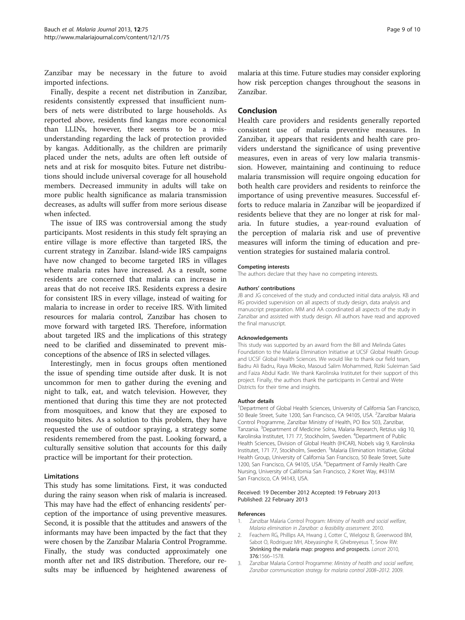<span id="page-8-0"></span>Zanzibar may be necessary in the future to avoid imported infections.

Finally, despite a recent net distribution in Zanzibar, residents consistently expressed that insufficient numbers of nets were distributed to large households. As reported above, residents find kangas more economical than LLINs, however, there seems to be a misunderstanding regarding the lack of protection provided by kangas. Additionally, as the children are primarily placed under the nets, adults are often left outside of nets and at risk for mosquito bites. Future net distributions should include universal coverage for all household members. Decreased immunity in adults will take on more public health significance as malaria transmission decreases, as adults will suffer from more serious disease when infected.

The issue of IRS was controversial among the study participants. Most residents in this study felt spraying an entire village is more effective than targeted IRS, the current strategy in Zanzibar. Island-wide IRS campaigns have now changed to become targeted IRS in villages where malaria rates have increased. As a result, some residents are concerned that malaria can increase in areas that do not receive IRS. Residents express a desire for consistent IRS in every village, instead of waiting for malaria to increase in order to receive IRS. With limited resources for malaria control, Zanzibar has chosen to move forward with targeted IRS. Therefore, information about targeted IRS and the implications of this strategy need to be clarified and disseminated to prevent misconceptions of the absence of IRS in selected villages.

Interestingly, men in focus groups often mentioned the issue of spending time outside after dusk. It is not uncommon for men to gather during the evening and night to talk, eat, and watch television. However, they mentioned that during this time they are not protected from mosquitoes, and know that they are exposed to mosquito bites. As a solution to this problem, they have requested the use of outdoor spraying, a strategy some residents remembered from the past. Looking forward, a culturally sensitive solution that accounts for this daily practice will be important for their protection.

## Limitations

This study has some limitations. First, it was conducted during the rainy season when risk of malaria is increased. This may have had the effect of enhancing residents' perception of the importance of using preventive measures. Second, it is possible that the attitudes and answers of the informants may have been impacted by the fact that they were chosen by the Zanzibar Malaria Control Programme. Finally, the study was conducted approximately one month after net and IRS distribution. Therefore, our results may be influenced by heightened awareness of malaria at this time. Future studies may consider exploring how risk perception changes throughout the seasons in Zanzibar.

## Conclusion

Health care providers and residents generally reported consistent use of malaria preventive measures. In Zanzibar, it appears that residents and health care providers understand the significance of using preventive measures, even in areas of very low malaria transmission. However, maintaining and continuing to reduce malaria transmission will require ongoing education for both health care providers and residents to reinforce the importance of using preventive measures. Successful efforts to reduce malaria in Zanzibar will be jeopardized if residents believe that they are no longer at risk for malaria. In future studies, a year-round evaluation of the perception of malaria risk and use of preventive measures will inform the timing of education and prevention strategies for sustained malaria control.

#### Competing interests

The authors declare that they have no competing interests.

#### Authors' contributions

JB and JG conceived of the study and conducted initial data analysis. KB and RG provided supervision on all aspects of study design, data analysis and manuscript preparation. MM and AA coordinated all aspects of the study in Zanzibar and assisted with study design. All authors have read and approved the final manuscript.

#### Acknowledgements

This study was supported by an award from the Bill and Melinda Gates Foundation to the Malaria Elimination Initiative at UCSF Global Health Group and UCSF Global Health Sciences. We would like to thank our field team, Badru Ali Badru, Raya Mkoko, Masoud Salim Mohammed, Riziki Suleiman Said and Faiza Abdul Kadir. We thank Karolinska Institutet for their support of this project. Finally, the authors thank the participants in Central and Wete Districts for their time and insights.

#### Author details

<sup>1</sup>Department of Global Health Sciences, University of California San Francisco, 50 Beale Street, Suite 1200, San Francisco, CA 94105, USA. <sup>2</sup>Zanzibar Malaria Control Programme, Zanzibar Ministry of Health, PO Box 503, Zanzibar, Tanzania. <sup>3</sup>Department of Medicine Solna, Malaria Research, Retzius väg 10 Karolinska Institutet, 171 77, Stockholm, Sweden. <sup>4</sup>Department of Public Health Sciences, Division of Global Health (IHCAR), Nobels väg 9, Karolinska Institutet, 171 77, Stockholm, Sweden. <sup>5</sup>Malaria Elimination Initiative, Global Health Group, University of California San Francisco, 50 Beale Street, Suite 1200, San Francisco, CA 94105, USA. <sup>6</sup>Department of Family Health Care Nursing, University of California San Francisco, 2 Koret Way, #431M San Francisco, CA 94143, USA.

#### Received: 19 December 2012 Accepted: 19 February 2013 Published: 22 February 2013

#### References

- 1. Zanzibar Malaria Control Program: Ministry of health and social welfare, Malaria elimination in Zanzibar: a feasibility assessment. 2010.
- 2. Feachem RG, Phillips AA, Hwang J, Cotter C, Wielgosz B, Greenwood BM, Sabot O, Rodriguez MH, Abeyasinghe R, Ghebreyesus T, Snow RW: Shrinking the malaria map: progress and prospects. Lancet 2010, 376:1566–1578.
- 3. Zanzibar Malaria Control Programme: Ministry of health and social welfare, Zanzibar communication strategy for malaria control 2008–2012. 2009.